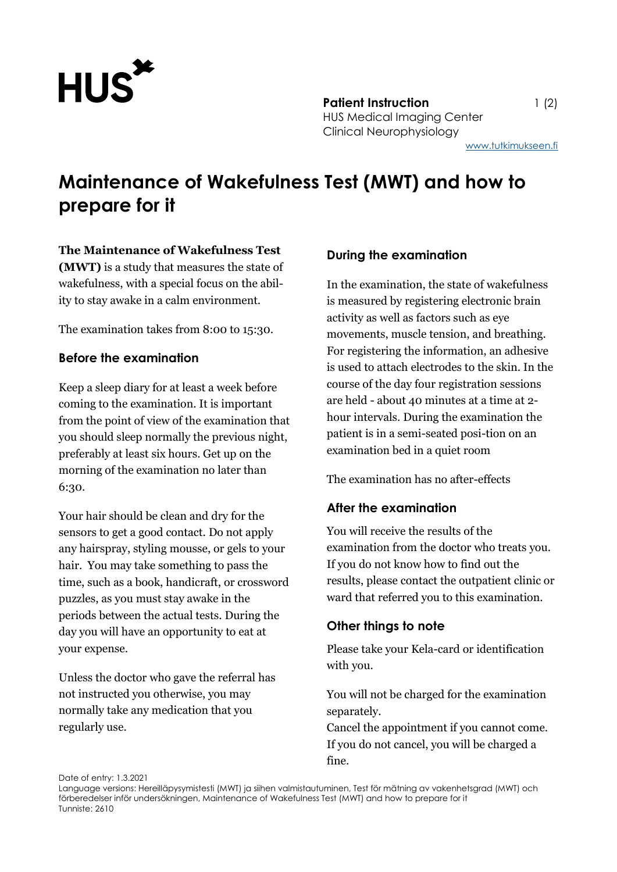

**Patient Instruction** 1 (2) HUS Medical Imaging Center Clinical Neurophysiology

[www.tutkimukseen.fi](http://www.tutkimukseen.fi/)

# **Maintenance of Wakefulness Test (MWT) and how to prepare for it**

#### **The Maintenance of Wakefulness Test**

**(MWT)** is a study that measures the state of wakefulness, with a special focus on the ability to stay awake in a calm environment.

The examination takes from 8:00 to 15:30.

## **Before the examination**

Keep a sleep diary for at least a week before coming to the examination. It is important from the point of view of the examination that you should sleep normally the previous night, preferably at least six hours. Get up on the morning of the examination no later than 6:30.

Your hair should be clean and dry for the sensors to get a good contact. Do not apply any hairspray, styling mousse, or gels to your hair. You may take something to pass the time, such as a book, handicraft, or crossword puzzles, as you must stay awake in the periods between the actual tests. During the day you will have an opportunity to eat at your expense.

Unless the doctor who gave the referral has not instructed you otherwise, you may normally take any medication that you regularly use.

## **During the examination**

In the examination, the state of wakefulness is measured by registering electronic brain activity as well as factors such as eye movements, muscle tension, and breathing. For registering the information, an adhesive is used to attach electrodes to the skin. In the course of the day four registration sessions are held - about 40 minutes at a time at 2 hour intervals. During the examination the patient is in a semi-seated posi-tion on an examination bed in a quiet room

The examination has no after-effects

# **After the examination**

You will receive the results of the examination from the doctor who treats you. If you do not know how to find out the results, please contact the outpatient clinic or ward that referred you to this examination.

# **Other things to note**

Please take your Kela-card or identification with you.

You will not be charged for the examination separately.

Cancel the appointment if you cannot come. If you do not cancel, you will be charged a fine.

Date of entry: 1.3.2021

Language versions: Hereilläpysymistesti (MWT) ja siihen valmistautuminen, Test för mätning av vakenhetsgrad (MWT) och förberedelser inför undersökningen, Maintenance of Wakefulness Test (MWT) and how to prepare for it Tunniste: 2610